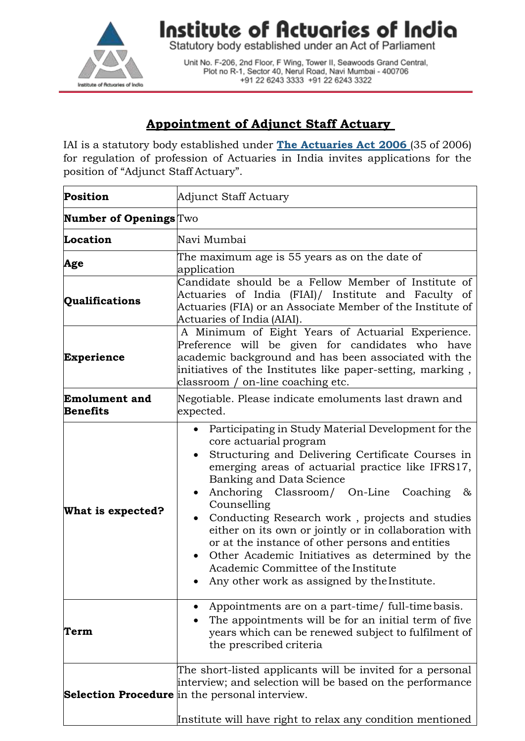

Institute of Actuaries of India

Statutory body established under an Act of Parliament

Unit No. F-206, 2nd Floor, F Wing, Tower II, Seawoods Grand Central, Plot no R-1, Sector 40, Nerul Road, Navi Mumbai - 400706 +91 22 6243 3333 +91 22 6243 3322

## **Appointment of Adjunct Staff Actuary**

IAI is a statutory body established under **The [Actuaries](http://www.actuariesindia.org/guidance/scanned%20GN.pdf) Act 2006** (35 of 2006) for regulation of profession of Actuaries in India invites applications for the position of "Adjunct Staff Actuary".

| <b>Position</b>                         | Adjunct Staff Actuary                                                                                                                                                                                                                                                                                                                                                                                                                                                                                                                                                                     |
|-----------------------------------------|-------------------------------------------------------------------------------------------------------------------------------------------------------------------------------------------------------------------------------------------------------------------------------------------------------------------------------------------------------------------------------------------------------------------------------------------------------------------------------------------------------------------------------------------------------------------------------------------|
| <b>Number of Openings</b> Two           |                                                                                                                                                                                                                                                                                                                                                                                                                                                                                                                                                                                           |
| Location                                | Navi Mumbai                                                                                                                                                                                                                                                                                                                                                                                                                                                                                                                                                                               |
| Age                                     | The maximum age is 55 years as on the date of<br>application                                                                                                                                                                                                                                                                                                                                                                                                                                                                                                                              |
| Qualifications                          | Candidate should be a Fellow Member of Institute of<br>Actuaries of India (FIAI)/ Institute and Faculty of<br>Actuaries (FIA) or an Associate Member of the Institute of<br>Actuaries of India (AIAI).                                                                                                                                                                                                                                                                                                                                                                                    |
| <b>Experience</b>                       | A Minimum of Eight Years of Actuarial Experience.<br>Preference will be given for candidates who have<br>academic background and has been associated with the<br>initiatives of the Institutes like paper-setting, marking,<br>classroom / on-line coaching etc.                                                                                                                                                                                                                                                                                                                          |
| <b>Emolument and</b><br><b>Benefits</b> | Negotiable. Please indicate emoluments last drawn and<br>expected.                                                                                                                                                                                                                                                                                                                                                                                                                                                                                                                        |
| What is expected?                       | Participating in Study Material Development for the<br>core actuarial program<br>Structuring and Delivering Certificate Courses in<br>emerging areas of actuarial practice like IFRS17,<br>Banking and Data Science<br>Anchoring Classroom/ On-Line Coaching<br>&<br>Counselling<br>Conducting Research work, projects and studies<br>either on its own or jointly or in collaboration with<br>or at the instance of other persons and entities<br>Other Academic Initiatives as determined by the<br>Academic Committee of the Institute<br>Any other work as assigned by the Institute. |
| Term                                    | Appointments are on a part-time/ full-time basis.<br>The appointments will be for an initial term of five<br>years which can be renewed subject to fulfilment of<br>the prescribed criteria                                                                                                                                                                                                                                                                                                                                                                                               |
|                                         | The short-listed applicants will be invited for a personal<br>interview; and selection will be based on the performance<br><b>Selection Procedure</b> in the personal interview.                                                                                                                                                                                                                                                                                                                                                                                                          |
|                                         | Institute will have right to relax any condition mentioned                                                                                                                                                                                                                                                                                                                                                                                                                                                                                                                                |